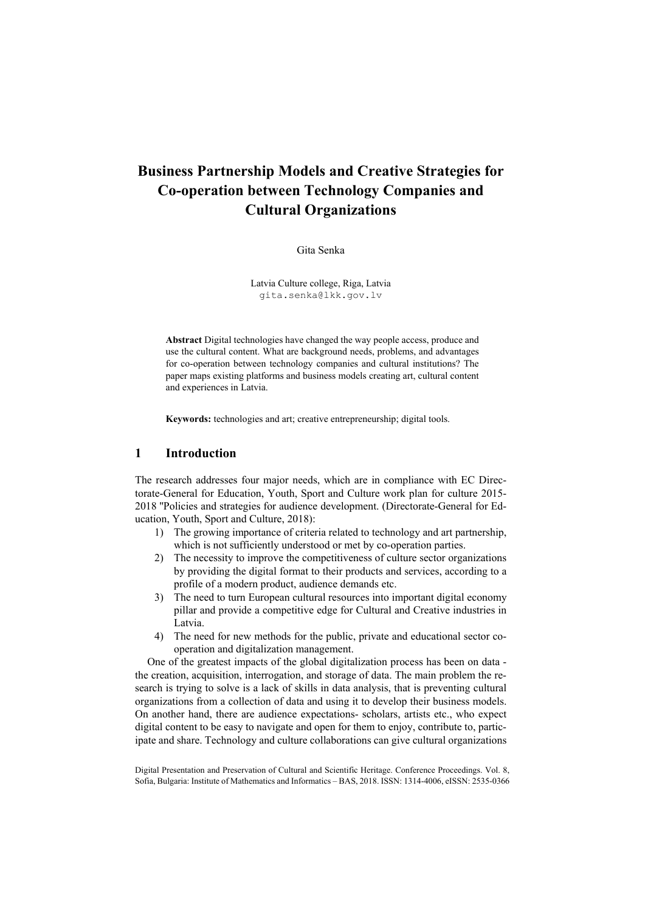# **Business Partnership Models and Creative Strategies for Co-operation between Technology Companies and Cultural Organizations**

#### Gita Senka

Latvia Culture college, Riga, Latvia gita.senka@lkk.gov.lv

**Abstract** Digital technologies have changed the way people access, produce and use the cultural content. What are background needs, problems, and advantages for co-operation between technology companies and cultural institutions? The paper maps existing platforms and business models creating art, cultural content and experiences in Latvia.

**Keywords:** technologies and art; creative entrepreneurship; digital tools.

### **1 Introduction**

The research addresses four major needs, which are in compliance with EC Directorate-General for Education, Youth, Sport and Culture work plan for culture 2015- 2018 ''Policies and strategies for audience development. (Directorate-General for Education, Youth, Sport and Culture, 2018):

- 1) The growing importance of criteria related to technology and art partnership, which is not sufficiently understood or met by co-operation parties.
- 2) The necessity to improve the competitiveness of culture sector organizations by providing the digital format to their products and services, according to a profile of a modern product, audience demands etc.
- 3) The need to turn European cultural resources into important digital economy pillar and provide a competitive edge for Cultural and Creative industries in Latvia.
- 4) The need for new methods for the public, private and educational sector cooperation and digitalization management.

One of the greatest impacts of the global digitalization process has been on data the creation, acquisition, interrogation, and storage of data. The main problem the research is trying to solve is a lack of skills in data analysis, that is preventing cultural organizations from a collection of data and using it to develop their business models. On another hand, there are audience expectations- scholars, artists etc., who expect digital content to be easy to navigate and open for them to enjoy, contribute to, participate and share. Technology and culture collaborations can give cultural organizations

Digital Presentation and Preservation of Cultural and Scientific Heritage. Conference Proceedings. Vol. 8, Sofia, Bulgaria: Institute of Mathematics and Informatics – BAS, 2018. ISSN: 1314-4006, eISSN: 2535-0366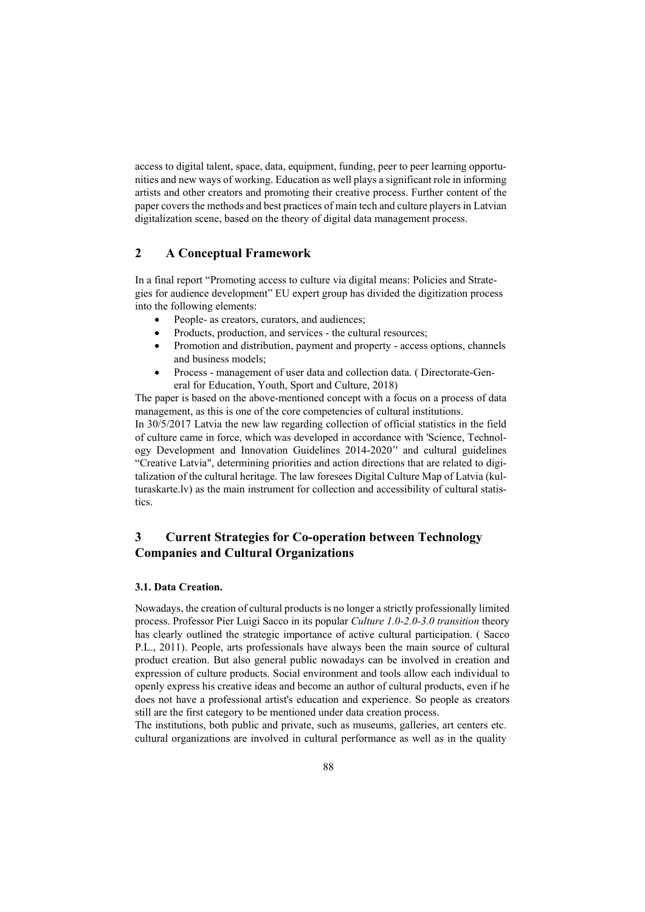access to digital talent, space, data, equipment, funding, peer to peer learning opportunities and new ways of working. Education as well plays a significant role in informing artists and other creators and promoting their creative process. Further content of the paper covers the methods and best practices of main tech and culture players in Latvian digitalization scene, based on the theory of digital data management process.

# **2 A Conceptual Framework**

In a final report "Promoting access to culture via digital means: Policies and Strategies for audience development" EU expert group has divided the digitization process into the following elements:

- People- as creators, curators, and audiences;
- Products, production, and services the cultural resources;
- Promotion and distribution, payment and property access options, channels and business models;
- Process management of user data and collection data. ( Directorate-General for Education, Youth, Sport and Culture, 2018)

The paper is based on the above-mentioned concept with a focus on a process of data management, as this is one of the core competencies of cultural institutions. In 30/5/2017 Latvia the new law regarding collection of official statistics in the field of culture came in force, which was developed in accordance with 'Science, Technology Development and Innovation Guidelines 2014-2020'' and cultural guidelines "Creative Latvia", determining priorities and action directions that are related to digitalization of the cultural heritage. The law foresees Digital Culture Map of Latvia (kulturaskarte.lv) as the main instrument for collection and accessibility of cultural statistics.

# **3 Current Strategies for Co-operation between Technology Companies and Cultural Organizations**

#### **3.1. Data Creation.**

Nowadays, the creation of cultural products is no longer a strictly professionally limited process. Professor Pier Luigi Sacco in its popular *Culture 1.0-2.0-3.0 transition* theory has clearly outlined the strategic importance of active cultural participation. ( Sacco P.L., 2011). People, arts professionals have always been the main source of cultural product creation. But also general public nowadays can be involved in creation and expression of culture products. Social environment and tools allow each individual to openly express his creative ideas and become an author of cultural products, even if he does not have a professional artist's education and experience. So people as creators still are the first category to be mentioned under data creation process.

The institutions, both public and private, such as museums, galleries, art centers etc. cultural organizations are involved in cultural performance as well as in the quality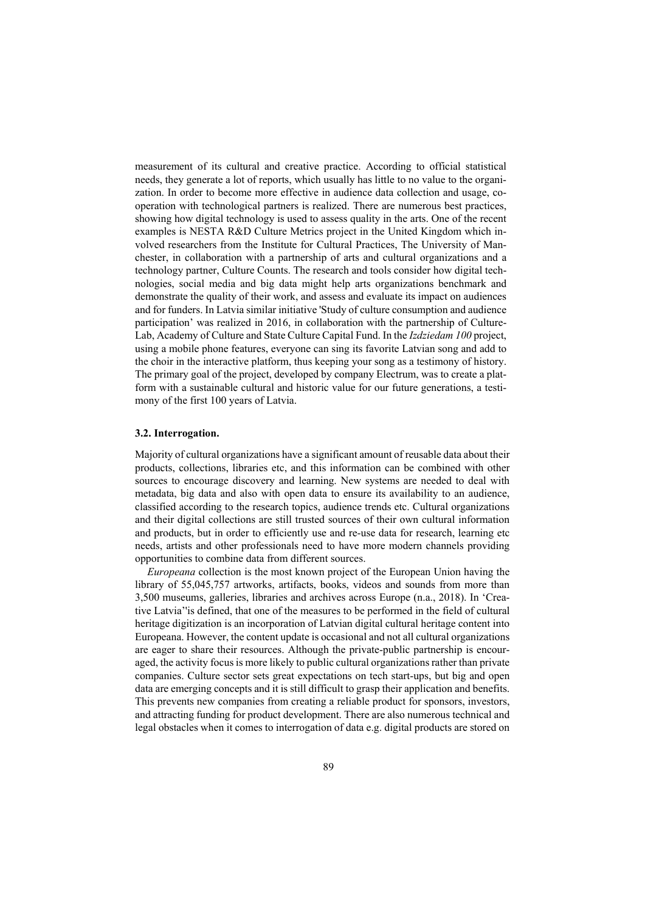measurement of its cultural and creative practice. According to official statistical needs, they generate a lot of reports, which usually has little to no value to the organization. In order to become more effective in audience data collection and usage, cooperation with technological partners is realized. There are numerous best practices, showing how digital technology is used to assess quality in the arts. One of the recent examples is NESTA R&D Culture Metrics project in the United Kingdom which involved researchers from the Institute for Cultural Practices, The University of Manchester, in collaboration with a partnership of arts and cultural organizations and a technology partner, Culture Counts. The research and tools consider how digital technologies, social media and big data might help arts organizations benchmark and demonstrate the quality of their work, and assess and evaluate its impact on audiences and for funders. In Latvia similar initiative 'Study of culture consumption and audience participation' was realized in 2016, in collaboration with the partnership of Culture-Lab, Academy of Culture and State Culture Capital Fund. In the *Izdziedam 100* project, using a mobile phone features, everyone can sing its favorite Latvian song and add to the choir in the interactive platform, thus keeping your song as a testimony of history. The primary goal of the project, developed by company Electrum, was to create a platform with a sustainable cultural and historic value for our future generations, a testimony of the first 100 years of Latvia.

#### **3.2. Interrogation.**

Majority of cultural organizations have a significant amount of reusable data about their products, collections, libraries etc, and this information can be combined with other sources to encourage discovery and learning. New systems are needed to deal with metadata, big data and also with open data to ensure its availability to an audience, classified according to the research topics, audience trends etc. Cultural organizations and their digital collections are still trusted sources of their own cultural information and products, but in order to efficiently use and re-use data for research, learning etc needs, artists and other professionals need to have more modern channels providing opportunities to combine data from different sources.

*Europeana* collection is the most known project of the European Union having the library of 55,045,757 artworks, artifacts, books, videos and sounds from more than 3,500 museums, galleries, libraries and archives across Europe (n.a., 2018). In 'Creative Latvia''is defined, that one of the measures to be performed in the field of cultural heritage digitization is an incorporation of Latvian digital cultural heritage content into Europeana. However, the content update is occasional and not all cultural organizations are eager to share their resources. Although the private-public partnership is encouraged, the activity focus is more likely to public cultural organizations rather than private companies. Culture sector sets great expectations on tech start-ups, but big and open data are emerging concepts and it is still difficult to grasp their application and benefits. This prevents new companies from creating a reliable product for sponsors, investors, and attracting funding for product development. There are also numerous technical and legal obstacles when it comes to interrogation of data e.g. digital products are stored on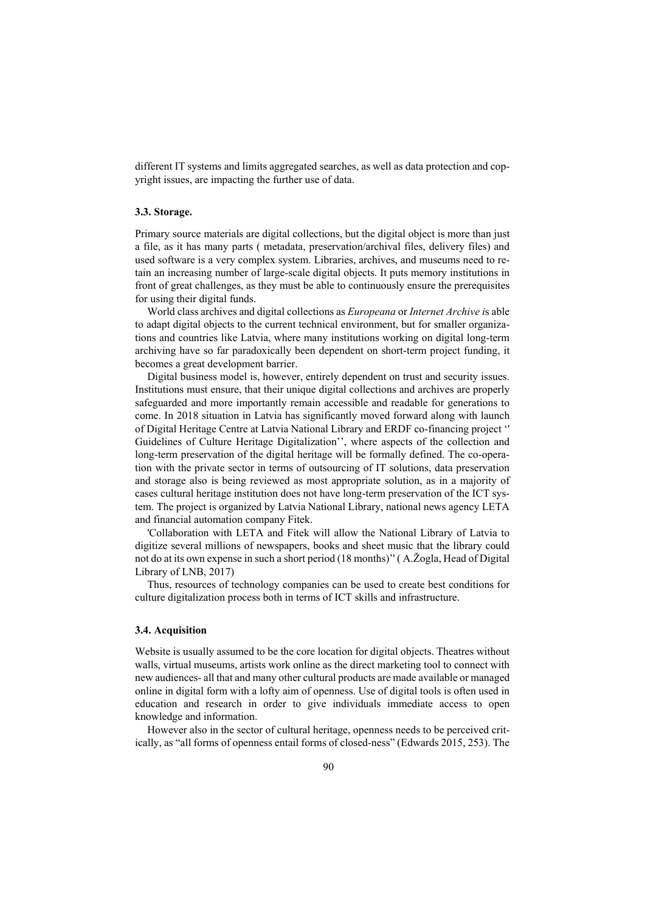different IT systems and limits aggregated searches, as well as data protection and copyright issues, are impacting the further use of data.

#### **3.3. Storage.**

Primary source materials are digital collections, but the digital object is more than just a file, as it has many parts ( metadata, preservation/archival files, delivery files) and used software is a very complex system. Libraries, archives, and museums need to retain an increasing number of large-scale digital objects. It puts memory institutions in front of great challenges, as they must be able to continuously ensure the prerequisites for using their digital funds.

World class archives and digital collections as *Europeana* or *Internet Archive i*s able to adapt digital objects to the current technical environment, but for smaller organizations and countries like Latvia, where many institutions working on digital long-term archiving have so far paradoxically been dependent on short-term project funding, it becomes a great development barrier.

Digital business model is, however, entirely dependent on trust and security issues. Institutions must ensure, that their unique digital collections and archives are properly safeguarded and more importantly remain accessible and readable for generations to come. In 2018 situation in Latvia has significantly moved forward along with launch of Digital Heritage Centre at Latvia National Library and ERDF co-financing project '' Guidelines of Culture Heritage Digitalization'', where aspects of the collection and long-term preservation of the digital heritage will be formally defined. The co-operation with the private sector in terms of outsourcing of IT solutions, data preservation and storage also is being reviewed as most appropriate solution, as in a majority of cases cultural heritage institution does not have long-term preservation of the ICT system. The project is organized by Latvia National Library, national news agency LETA and financial automation company Fitek.

'Collaboration with LETA and Fitek will allow the National Library of Latvia to digitize several millions of newspapers, books and sheet music that the library could not do at its own expense in such a short period (18 months)'' ( A.Žogla, Head of Digital Library of LNB, 2017)

Thus, resources of technology companies can be used to create best conditions for culture digitalization process both in terms of ICT skills and infrastructure.

#### **3.4. Acquisition**

Website is usually assumed to be the core location for digital objects. Theatres without walls, virtual museums, artists work online as the direct marketing tool to connect with new audiences- all that and many other cultural products are made available or managed online in digital form with a lofty aim of openness. Use of digital tools is often used in education and research in order to give individuals immediate access to open knowledge and information.

However also in the sector of cultural heritage, openness needs to be perceived critically, as "all forms of openness entail forms of closed-ness" (Edwards 2015, 253). The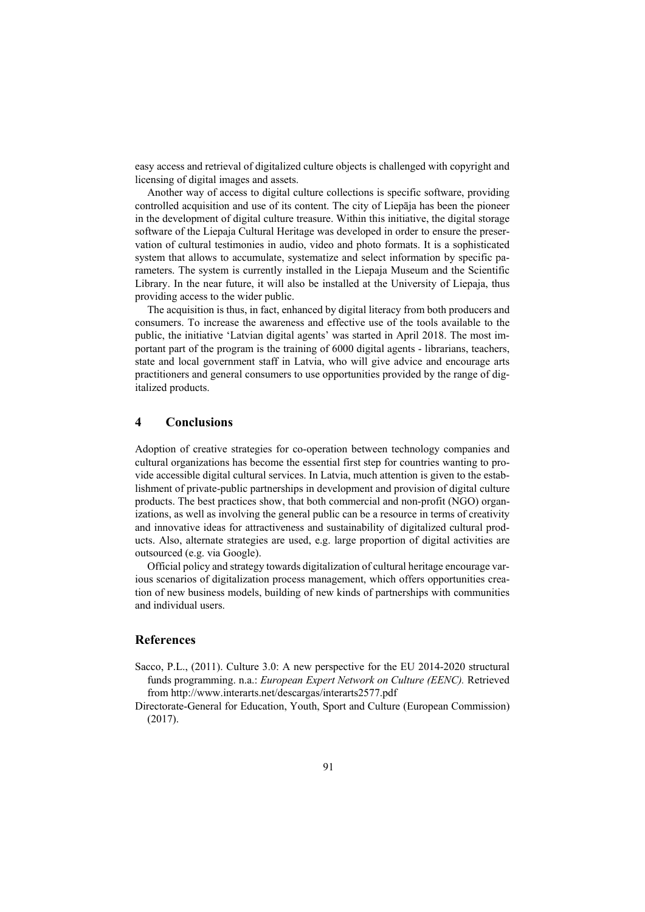easy access and retrieval of digitalized culture objects is challenged with copyright and licensing of digital images and assets.

Another way of access to digital culture collections is specific software, providing controlled acquisition and use of its content. The city of Liepāja has been the pioneer in the development of digital culture treasure. Within this initiative, the digital storage software of the Liepaja Cultural Heritage was developed in order to ensure the preservation of cultural testimonies in audio, video and photo formats. It is a sophisticated system that allows to accumulate, systematize and select information by specific parameters. The system is currently installed in the Liepaja Museum and the Scientific Library. In the near future, it will also be installed at the University of Liepaja, thus providing access to the wider public.

The acquisition is thus, in fact, enhanced by digital literacy from both producers and consumers. To increase the awareness and effective use of the tools available to the public, the initiative 'Latvian digital agents' was started in April 2018. The most important part of the program is the training of 6000 digital agents - librarians, teachers, state and local government staff in Latvia, who will give advice and encourage arts practitioners and general consumers to use opportunities provided by the range of digitalized products.

# **4 Conclusions**

Adoption of creative strategies for co-operation between technology companies and cultural organizations has become the essential first step for countries wanting to provide accessible digital cultural services. In Latvia, much attention is given to the establishment of private-public partnerships in development and provision of digital culture products. The best practices show, that both commercial and non-profit (NGO) organizations, as well as involving the general public can be a resource in terms of creativity and innovative ideas for attractiveness and sustainability of digitalized cultural products. Also, alternate strategies are used, e.g. large proportion of digital activities are outsourced (e.g. via Google).

Official policy and strategy towards digitalization of cultural heritage encourage various scenarios of digitalization process management, which offers opportunities creation of new business models, building of new kinds of partnerships with communities and individual users.

## **References**

- Sacco, P.L., (2011). Culture 3.0: A new perspective for the EU 2014-2020 structural funds programming. n.a.: *European Expert Network on Culture (EENC).* Retrieved from http://www.interarts.net/descargas/interarts2577.pdf
- Directorate-General for Education, Youth, Sport and Culture (European Commission) (2017).